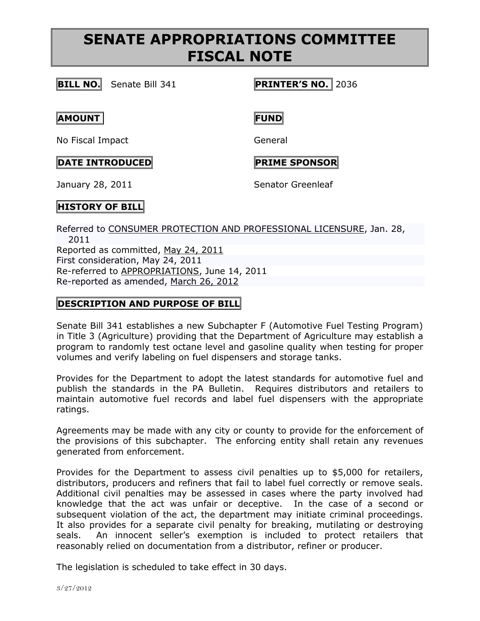# **SENATE APPROPRIATIONS COMMITTEE FISCAL NOTE**

**BILL NO.** Senate Bill 341 **PRINTER'S NO.** 2036

### **AMOUNT FUND**

No Fiscal Impact General

## **DATE INTRODUCED PRIME SPONSOR**

January 28, 2011 **Senator Greenleaf** 

# **HISTORY OF BILL**

Referred to [CONSUMER PROTECTION AND PROFESSIONAL LICENSURE,](http://www.legis.state.pa.us/cfdocs/cteeInfo/cteeInfo.cfm?cde=7&body=S) Jan. 28, 2011 Reported as committed, [May 24, 2011](http://ldpc6.legis.state.pa.us/cfdocs/legis/RCC/PUBLIC/listVotes.cfm?sYear=2011&sInd=0&chamber=S&cteeCde=7&nbr=341&bBody=S&type=B&theDate=05/24/2011) First consideration, May 24, 2011 Re-referred to [APPROPRIATIONS,](http://www.legis.state.pa.us/cfdocs/cteeInfo/cteeInfo.cfm?cde=3&body=S) June 14, 2011 Re-reported as amended, [March 26, 2012](http://ldpc6.legis.state.pa.us/cfdocs/legis/RCC/PUBLIC/listVotes.cfm?sYear=2011&sInd=0&chamber=S&cteeCde=3&nbr=341&bBody=S&type=B&theDate=03/26/2012)

## **DESCRIPTION AND PURPOSE OF BILL**

Senate Bill 341 establishes a new Subchapter F (Automotive Fuel Testing Program) in Title 3 (Agriculture) providing that the Department of Agriculture may establish a program to randomly test octane level and gasoline quality when testing for proper volumes and verify labeling on fuel dispensers and storage tanks.

Provides for the Department to adopt the latest standards for automotive fuel and publish the standards in the PA Bulletin. Requires distributors and retailers to maintain automotive fuel records and label fuel dispensers with the appropriate ratings.

Agreements may be made with any city or county to provide for the enforcement of the provisions of this subchapter. The enforcing entity shall retain any revenues generated from enforcement.

Provides for the Department to assess civil penalties up to \$5,000 for retailers, distributors, producers and refiners that fail to label fuel correctly or remove seals. Additional civil penalties may be assessed in cases where the party involved had knowledge that the act was unfair or deceptive. In the case of a second or subsequent violation of the act, the department may initiate criminal proceedings. It also provides for a separate civil penalty for breaking, mutilating or destroying seals. An innocent seller's exemption is included to protect retailers that reasonably relied on documentation from a distributor, refiner or producer.

The legislation is scheduled to take effect in 30 days.